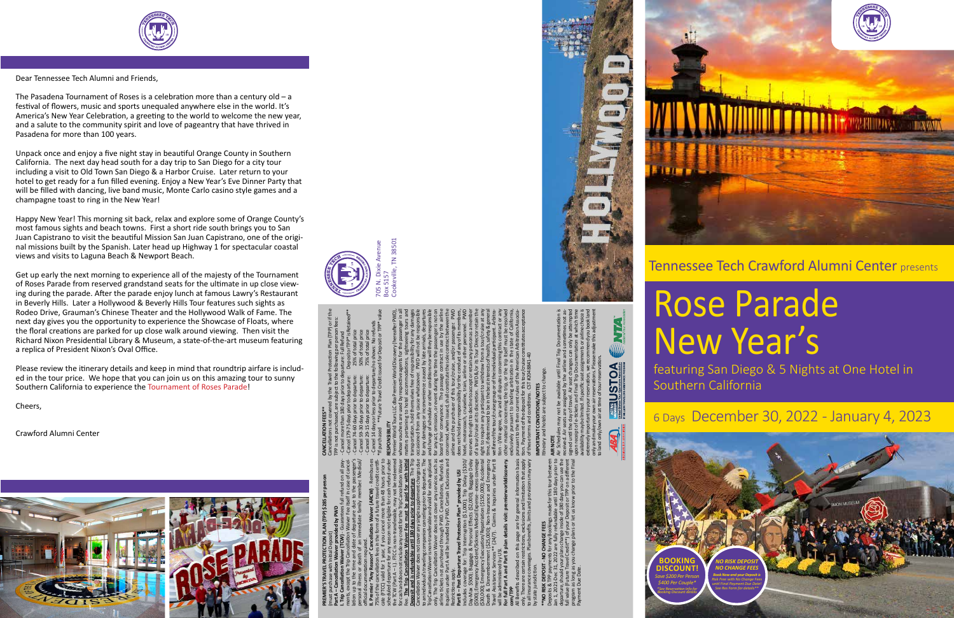

Dear Tennessee Tech Alumni and Friends,

The Pasadena Tournament of Roses is a celebration more than a century old – a festival of flowers, music and sports unequaled anywhere else in the world. It's America's New Year Celebration, a greeting to the world to welcome the new year, and a salute to the community spirit and love of pageantry that have thrived in Pasadena for more than 100 years.

Unpack once and enjoy a five night stay in beautiful Orange County in Southern California. The next day head south for a day trip to San Diego for a city tour including a visit to Old Town San Diego & a Harbor Cruise. Later return to your hotel to get ready for a fun filled evening. Enjoy a New Year's Eve Dinner Party that will be filled with dancing, live band music, Monte Carlo casino style games and a champagne toast to ring in the New Year!

Happy New Year! This morning sit back, relax and explore some of Orange County's most famous sights and beach towns. First a short ride south brings you to San Juan Capistrano to visit the beautiful Mission San Juan Capistrano, one of the original missions built by the Spanish. Later head up Highway 1 for spectacular coastal views and visits to Laguna Beach & Newport Beach.

Get up early the next morning to experience all of the majesty of the Tournament of Roses Parade from reserved grandstand seats for the ultimate in up close viewing during the parade. After the parade enjoy lunch at famous Lawry's Restaurant in Beverly Hills. Later a Hollywood & Beverly Hills Tour features such sights as Rodeo Drive, Grauman's Chinese Theater and the Hollywood Walk of Fame. The next day gives you the opportunity to experience the Showcase of Floats, where the floral creations are parked for up close walk around viewing. Then visit the Richard Nixon Presidential Library & Museum, a state-of-the-art museum featuring a replica of President Nixon's Oval Office.

Please review the itinerary details and keep in mind that roundtrip airfare is included in the tour price. We hope that you can join us on this amazing tour to sunny Southern California to experience the Tournament of Roses Parade!

Cheers,

Crawford Alumni Center



# Rose Parade New Year's

featuring San Diego & 5 Nights at One Hotel in Southern California

Tennessee Tech Crawford Alumni Center presents

**PREMIER'S TRAVEL PROTECTION PLAN (TPP) \$285 per person**  (must purchase with Initial Deposit)

**Part A – Cancellation Waiver provided by PWD I. Trip Cancellation Waiver (TCW)** - Guarantees full refund on all payments, except the Trip Cancellation Waiver Fee itself in case of cancellation up to the time and date of departure due to the passenger's personal illness or death of an immediate family member. Medical/ official documentation required.

**II. Premier "Any Reason" Cancellation Waiver (ARCW)** - Reimburses 75% of the cancellation fees in the form of a future travel credit certificate (FTCC) valid for 1 year, if you cancel more than 48 hours prior to scheduled departure for any reason not eligible for cash refund under the TCW (Part A – I.). FTCC is non-transferable, may not be redeemed

for cash and does not include any credit for the Trip Cancellation Waiver Fee. **The Trip Cancellation Waiver Fee must be paid for with Initial Deposit and is refundable until 180 days prior to departure**. The Trip Cancellation Waiver does not cover any single supplement charges due to an individual's traveling companion canceling prior to departure. The Trip Cancellation Waiver is non-transferable and valid for each applicant only. The Trip Cancellation Waiver does not cover any services such as airline tickets not purchased through PWD. Cancellations, Refunds & Inquiries under Part A will be handled by PWD. Certain Exclusions and Restrictions apply.

**Part B – Post Departure Travel Protection Plan\* provided by USI** Includes coverage for: Trip Interruption (\$1,000); Trip Delay (\$100/ Day-Max \$500); Baggage & Personal Effects (\$2,000); Baggage Delay (\$500); Emergency Accident/Sickness Medical Expense - excess coverage (\$30,000); Emergency Evacuation/Repatriation (\$150,000); Accidental Death & Dismemberment (\$25,000); Non-Insurance and Emergency Travel Assistance Services\*\* (24/7). Claims & Inquiries under Part B will be administered by USI.

**For full Part A and Part B plan details visit: premierworlddiscovery. com/TPP** All Benefits described on this page are for general information basis only. There are certain restrictions, exclusions and limitation that apply

to all insurance coverages. Plan benefits, limits and provisions may vary by state jurisdiction. **\*\*NO RISK DEPOSIT - NO CHANGE FEES**

Deposits & TPP payments for any Bookings made for this tour between Jan 1, 2021-Dec 31, 2022 are fully refundable until 180 days prior to departure, should your plans change inside of 180 days you can use the full value (Future Travel Credit\*\*) of your Deposit or TPP on a different program as long as you change plans or let us know prior to the Final Payment Due Date.

**CANCELLATION FEES\*\*** Cancellations not covered by the Travel Protection Plan (TPP) or if the

TPP is not purchased, are subject to the following per person fees: - Cancel more than 180 days prior to departure: Full Refund - Cancel 179-75 days prior to departure: Deposit or TPP\* is Retained\*\* - Cancel 74-60 days prior to departure: 25% of total price - Cancel 59-30 days prior to departure: 50% of total price - Cancel 29-15 days prior to departure: 75% of total price - Cancel 14 days or less prior to departure/no shows: No refunds \*If purchased \*\*Future Travel Credit issued for Deposit or TPP\* value

**RESPONSIBILITY** Premier World Tours LLC dba Premier World Discovery (hereafter PWD),

whose vouchers are used by respective agents for the passenger in all matters pertaining to hotel accommodations, sightseeing tours and transportation, hold themselves free of responsibility for any damages occasioned from any cause whatsoever. PWD will not be responsible for any damages or inconvenience caused by late arrivals, departures and change of schedule or other conditions nor will they be responsible for any act, omission, or event during the time the passenger is not on board their conveyance. The passage contract in use by the airline concerned, when issued, shall constitute the sole contract between the airline and the purchaser of this tour/cruise, and/or passenger. PWD does not hold any responsibility for the conduct of any of its members, hotel, motorcoach, cruiseline, train, airline or other personnel. PWD reserves the right to decline to accept or retain any person as a member of a tour/cruise at its discretion. PWD &/or its Tour Director retain the right to require any participant to withdraw from a tour/cruise at any time, if determined to be in the best interests of health, safety & general welfare of the tour/cruise group or of the individual participant. Arbitration - I/We agree, any and all disputes concerning this contract or any other material concerning the trip, or the trip itself must be resolved exclusively pursuant to binding arbitration in the state of California, pursuant to the then current rules of the American Arbitration Association. Payment of the deposit for this tour/cruise constitutes acceptance of these terms and conditions. CST #2048841-40

# **IMPORTANT CONDITIONS/NOTES**

Itinerary and hotels are subject to change. **AIR NOTE**

Air Schedules may not be available until Final Trip Documentation is received. Air seats are assigned by the airline and sometimes not assigned until the day of travel. Air seat changes can only be attempted

upon receipt of e-tickets and Final Trip Documentation at which time availability may be limited. If specific seat assignments or airline choice is extremely important to your reservation, we recommend you book land only and make your own air reservations. Please make this adjustment to land only/own air at time of tour reservation**.**

**NVK ACTIVE USTOA** 



*\$400 Per Couple\**

*Booking Discount details*





6 Days December 30, 2022 - January 4, 2023

705 N. Dixie Avenue

Box 5157

Cookeville, TN 38501